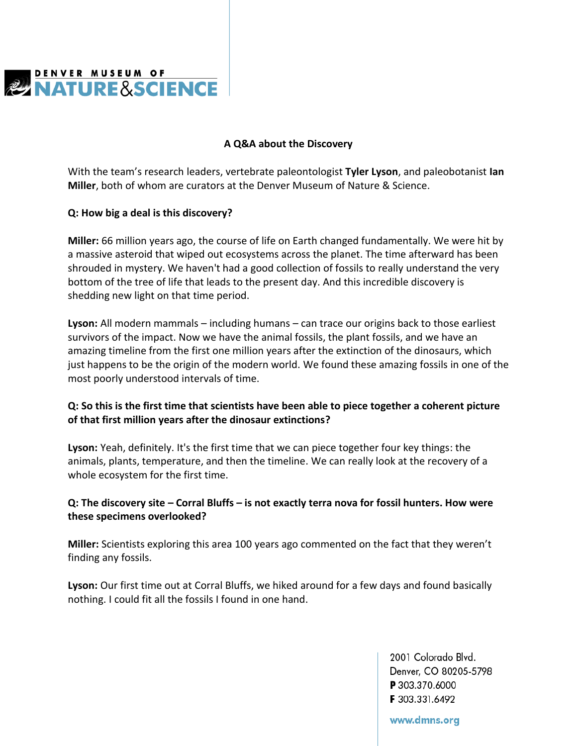

#### **A Q&A about the Discovery**

With the team's research leaders, vertebrate paleontologist **Tyler Lyson**, and paleobotanist **Ian Miller**, both of whom are curators at the Denver Museum of Nature & Science.

#### **Q: How big a deal is this discovery?**

**Miller:** 66 million years ago, the course of life on Earth changed fundamentally. We were hit by a massive asteroid that wiped out ecosystems across the planet. The time afterward has been shrouded in mystery. We haven't had a good collection of fossils to really understand the very bottom of the tree of life that leads to the present day. And this incredible discovery is shedding new light on that time period.

**Lyson:** All modern mammals – including humans – can trace our origins back to those earliest survivors of the impact. Now we have the animal fossils, the plant fossils, and we have an amazing timeline from the first one million years after the extinction of the dinosaurs, which just happens to be the origin of the modern world. We found these amazing fossils in one of the most poorly understood intervals of time.

# **Q: So this is the first time that scientists have been able to piece together a coherent picture of that first million years after the dinosaur extinctions?**

**Lyson:** Yeah, definitely. It's the first time that we can piece together four key things: the animals, plants, temperature, and then the timeline. We can really look at the recovery of a whole ecosystem for the first time.

## **Q: The discovery site – Corral Bluffs – is not exactly terra nova for fossil hunters. How were these specimens overlooked?**

**Miller:** Scientists exploring this area 100 years ago commented on the fact that they weren't finding any fossils.

**Lyson:** Our first time out at Corral Bluffs, we hiked around for a few days and found basically nothing. I could fit all the fossils I found in one hand.

> 2001 Colorado Blvd. Denver, CO 80205-5798 P 303.370.6000 F 303.331.6492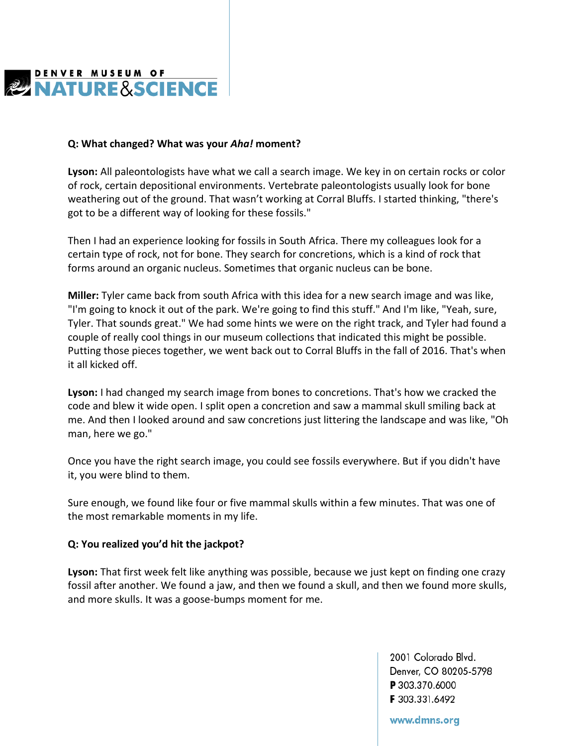

#### **Q: What changed? What was your** *Aha!* **moment?**

**Lyson:** All paleontologists have what we call a search image. We key in on certain rocks or color of rock, certain depositional environments. Vertebrate paleontologists usually look for bone weathering out of the ground. That wasn't working at Corral Bluffs. I started thinking, "there's got to be a different way of looking for these fossils."

Then I had an experience looking for fossils in South Africa. There my colleagues look for a certain type of rock, not for bone. They search for concretions, which is a kind of rock that forms around an organic nucleus. Sometimes that organic nucleus can be bone.

**Miller:** Tyler came back from south Africa with this idea for a new search image and was like, "I'm going to knock it out of the park. We're going to find this stuff." And I'm like, "Yeah, sure, Tyler. That sounds great." We had some hints we were on the right track, and Tyler had found a couple of really cool things in our museum collections that indicated this might be possible. Putting those pieces together, we went back out to Corral Bluffs in the fall of 2016. That's when it all kicked off.

**Lyson:** I had changed my search image from bones to concretions. That's how we cracked the code and blew it wide open. I split open a concretion and saw a mammal skull smiling back at me. And then I looked around and saw concretions just littering the landscape and was like, "Oh man, here we go."

Once you have the right search image, you could see fossils everywhere. But if you didn't have it, you were blind to them.

Sure enough, we found like four or five mammal skulls within a few minutes. That was one of the most remarkable moments in my life.

### **Q: You realized you'd hit the jackpot?**

**Lyson:** That first week felt like anything was possible, because we just kept on finding one crazy fossil after another. We found a jaw, and then we found a skull, and then we found more skulls, and more skulls. It was a goose-bumps moment for me.

> 2001 Colorado Blvd. Denver, CO 80205-5798 P 303.370.6000 F 303.331.6492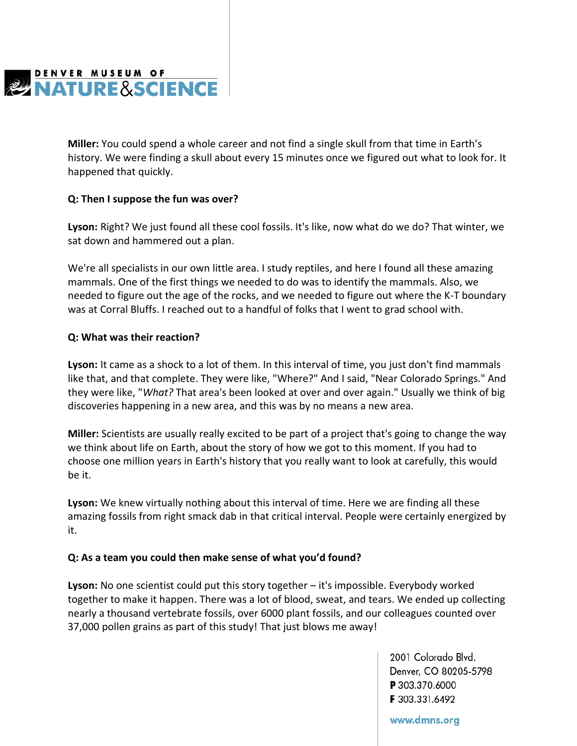

**Miller:** You could spend a whole career and not find a single skull from that time in Earth's history. We were finding a skull about every 15 minutes once we figured out what to look for. It happened that quickly.

## **Q: Then I suppose the fun was over?**

**Lyson:** Right? We just found all these cool fossils. It's like, now what do we do? That winter, we sat down and hammered out a plan.

We're all specialists in our own little area. I study reptiles, and here I found all these amazing mammals. One of the first things we needed to do was to identify the mammals. Also, we needed to figure out the age of the rocks, and we needed to figure out where the K-T boundary was at Corral Bluffs. I reached out to a handful of folks that I went to grad school with.

### **Q: What was their reaction?**

**Lyson:** It came as a shock to a lot of them. In this interval of time, you just don't find mammals like that, and that complete. They were like, "Where?" And I said, "Near Colorado Springs." And they were like, "*What?* That area's been looked at over and over again." Usually we think of big discoveries happening in a new area, and this was by no means a new area.

**Miller:** Scientists are usually really excited to be part of a project that's going to change the way we think about life on Earth, about the story of how we got to this moment. If you had to choose one million years in Earth's history that you really want to look at carefully, this would be it.

**Lyson:** We knew virtually nothing about this interval of time. Here we are finding all these amazing fossils from right smack dab in that critical interval. People were certainly energized by it.

### **Q: As a team you could then make sense of what you'd found?**

**Lyson:** No one scientist could put this story together – it's impossible. Everybody worked together to make it happen. There was a lot of blood, sweat, and tears. We ended up collecting nearly a thousand vertebrate fossils, over 6000 plant fossils, and our colleagues counted over 37,000 pollen grains as part of this study! That just blows me away!

> 2001 Colorado Blvd. Denver, CO 80205-5798 P 303.370.6000 F 303.331.6492